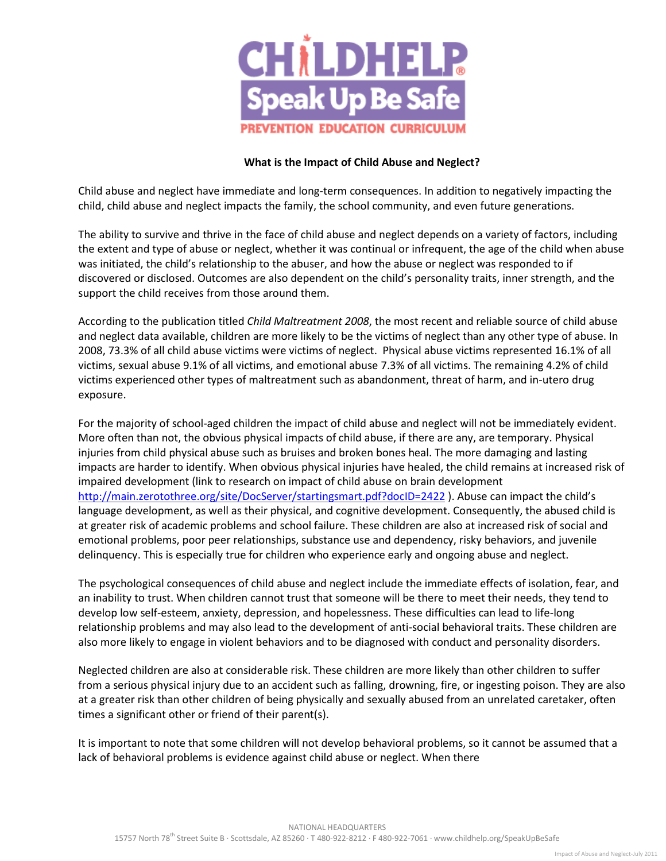

## **What is the Impact of Child Abuse and Neglect?**

Child abuse and neglect have immediate and long-term consequences. In addition to negatively impacting the child, child abuse and neglect impacts the family, the school community, and even future generations.

The ability to survive and thrive in the face of child abuse and neglect depends on a variety of factors, including the extent and type of abuse or neglect, whether it was continual or infrequent, the age of the child when abuse was initiated, the child's relationship to the abuser, and how the abuse or neglect was responded to if discovered or disclosed. Outcomes are also dependent on the child's personality traits, inner strength, and the support the child receives from those around them.

According to the publication titled *Child Maltreatment 2008*, the most recent and reliable source of child abuse and neglect data available, children are more likely to be the victims of neglect than any other type of abuse. In 2008, 73.3% of all child abuse victims were victims of neglect. Physical abuse victims represented 16.1% of all victims, sexual abuse 9.1% of all victims, and emotional abuse 7.3% of all victims. The remaining 4.2% of child victims experienced other types of maltreatment such as abandonment, threat of harm, and in-utero drug exposure.

For the majority of school-aged children the impact of child abuse and neglect will not be immediately evident. More often than not, the obvious physical impacts of child abuse, if there are any, are temporary. Physical injuries from child physical abuse such as bruises and broken bones heal. The more damaging and lasting impacts are harder to identify. When obvious physical injuries have healed, the child remains at increased risk of impaired development (link to research on impact of child abuse on brain development <http://main.zerotothree.org/site/DocServer/startingsmart.pdf?docID=2422> ). Abuse can impact the child's language development, as well as their physical, and cognitive development. Consequently, the abused child is at greater risk of academic problems and school failure. These children are also at increased risk of social and emotional problems, poor peer relationships, substance use and dependency, risky behaviors, and juvenile delinquency. This is especially true for children who experience early and ongoing abuse and neglect.

The psychological consequences of child abuse and neglect include the immediate effects of isolation, fear, and an inability to trust. When children cannot trust that someone will be there to meet their needs, they tend to develop low self-esteem, anxiety, depression, and hopelessness. These difficulties can lead to life-long relationship problems and may also lead to the development of anti-social behavioral traits. These children are also more likely to engage in violent behaviors and to be diagnosed with conduct and personality disorders.

Neglected children are also at considerable risk. These children are more likely than other children to suffer from a serious physical injury due to an accident such as falling, drowning, fire, or ingesting poison. They are also at a greater risk than other children of being physically and sexually abused from an unrelated caretaker, often times a significant other or friend of their parent(s).

It is important to note that some children will not develop behavioral problems, so it cannot be assumed that a lack of behavioral problems is evidence against child abuse or neglect. When there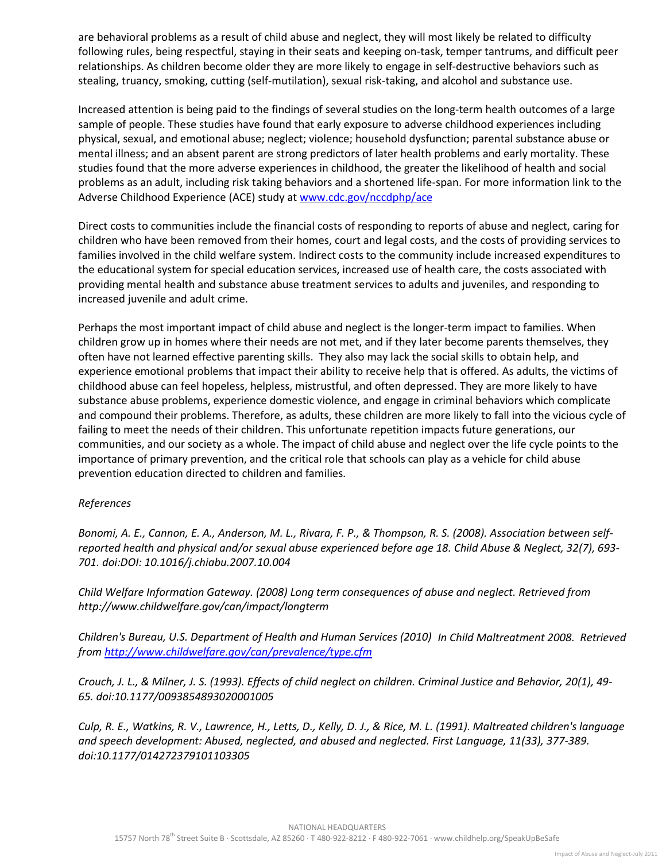are behavioral problems as a result of child abuse and neglect, they will most likely be related to difficulty following rules, being respectful, staying in their seats and keeping on-task, temper tantrums, and difficult peer relationships. As children become older they are more likely to engage in self-destructive behaviors such as stealing, truancy, smoking, cutting (self-mutilation), sexual risk-taking, and alcohol and substance use.

Increased attention is being paid to the findings of several studies on the long-term health outcomes of a large sample of people. These studies have found that early exposure to adverse childhood experiences including physical, sexual, and emotional abuse; neglect; violence; household dysfunction; parental substance abuse or mental illness; and an absent parent are strong predictors of later health problems and early mortality. These studies found that the more adverse experiences in childhood, the greater the likelihood of health and social problems as an adult, including risk taking behaviors and a shortened life-span. For more information link to the Adverse Childhood Experience (ACE) study a[t www.cdc.gov/nccdphp/ace](http://www.cdc.gov/nccdphp/ace)

Direct costs to communities include the financial costs of responding to reports of abuse and neglect, caring for children who have been removed from their homes, court and legal costs, and the costs of providing services to families involved in the child welfare system. Indirect costs to the community include increased expenditures to the educational system for special education services, increased use of health care, the costs associated with providing mental health and substance abuse treatment services to adults and juveniles, and responding to increased juvenile and adult crime.

Perhaps the most important impact of child abuse and neglect is the longer-term impact to families. When children grow up in homes where their needs are not met, and if they later become parents themselves, they often have not learned effective parenting skills. They also may lack the social skills to obtain help, and experience emotional problems that impact their ability to receive help that is offered. As adults, the victims of childhood abuse can feel hopeless, helpless, mistrustful, and often depressed. They are more likely to have substance abuse problems, experience domestic violence, and engage in criminal behaviors which complicate and compound their problems. Therefore, as adults, these children are more likely to fall into the vicious cycle of failing to meet the needs of their children. This unfortunate repetition impacts future generations, our communities, and our society as a whole. The impact of child abuse and neglect over the life cycle points to the importance of primary prevention, and the critical role that schools can play as a vehicle for child abuse prevention education directed to children and families.

## *References*

*Bonomi, A. E., Cannon, E. A., Anderson, M. L., Rivara, F. P., & Thompson, R. S. (2008). Association between selfreported health and physical and/or sexual abuse experienced before age 18. Child Abuse & Neglect, 32(7), 693- 701. doi:DOI: 10.1016/j.chiabu.2007.10.004* 

*Child Welfare Information Gateway. (2008) Long term consequences of abuse and neglect. Retrieved from http://www.childwelfare.gov/can/impact/longterm* 

*Children's Bureau, U.S. Department of Health and Human Services (2010) In Child Maltreatment 2008. Retrieved from<http://www.childwelfare.gov/can/prevalence/type.cfm>*

*Crouch, J. L., & Milner, J. S. (1993). Effects of child neglect on children. Criminal Justice and Behavior, 20(1), 49- 65. doi:10.1177/0093854893020001005* 

*Culp, R. E., Watkins, R. V., Lawrence, H., Letts, D., Kelly, D. J., & Rice, M. L. (1991). Maltreated children's language and speech development: Abused, neglected, and abused and neglected. First Language, 11(33), 377-389. doi:10.1177/014272379101103305*